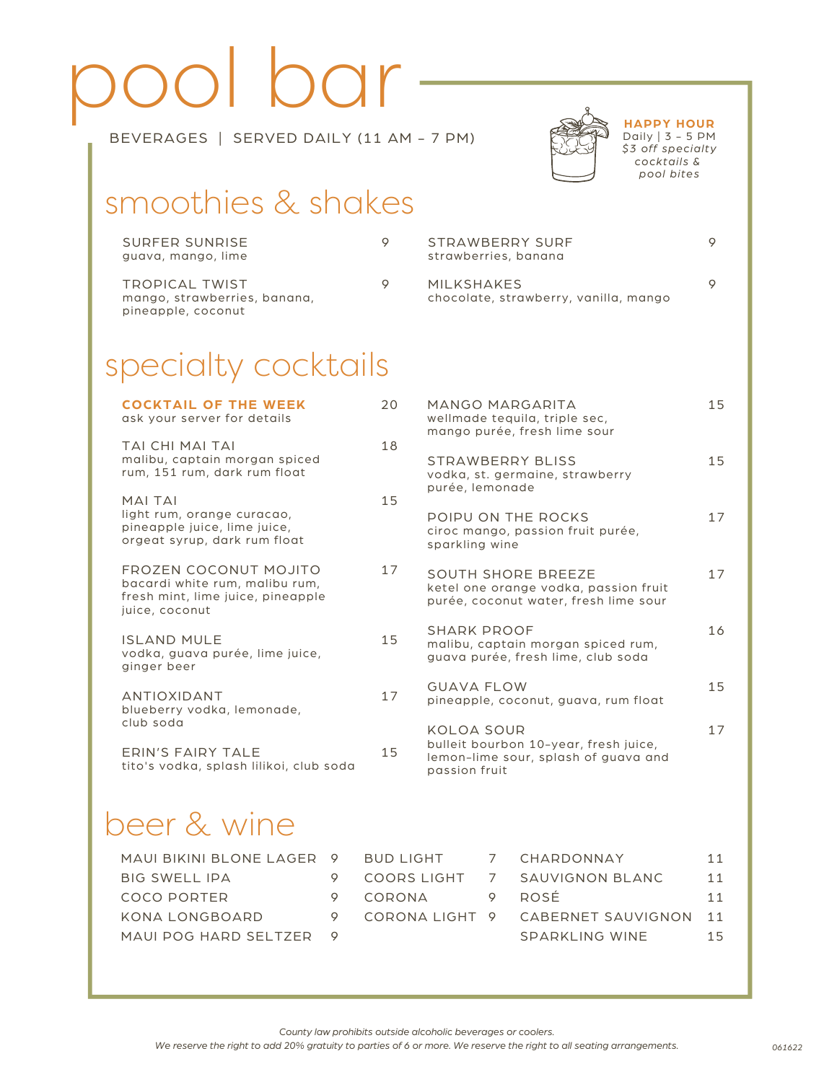# pool bar



9

**HAPPY HOUR** Daily | 3 - 5 PM *\$3 off specialty cocktails & pool bites*

 $\circ$ 

#### BEVERAGES | SERVED DAILY (11 AM - 7 PM)

## smoothies & shakes

| SURFER SUNRISE<br>guava, mango, lime                                 | STRAWBERRY SURF<br>strawberries, banana             |
|----------------------------------------------------------------------|-----------------------------------------------------|
| TROPICAL TWIST<br>mango, strawberries, banana,<br>pineapple, coconut | MILKSHAKES<br>chocolate, strawberry, vanilla, mango |

## specialty cocktails

| <b>COCKTAIL OF THE WEEK</b><br>ask your server for details                                                     | 20 | MANGO MARGARITA<br>wellmade tequila, triple sec,<br>mango purée, fresh lime sour                             | 15 |
|----------------------------------------------------------------------------------------------------------------|----|--------------------------------------------------------------------------------------------------------------|----|
| TAI CHI MAI TAI<br>malibu, captain morgan spiced<br>rum, 151 rum, dark rum float                               | 18 | STRAWBERRY BLISS<br>vodka, st. germaine, strawberry<br>purée, lemonade                                       | 15 |
| <b>MAI TAI</b><br>light rum, orange curacao,<br>pineapple juice, lime juice,<br>orgeat syrup, dark rum float   | 15 | POIPU ON THE ROCKS<br>ciroc mango, passion fruit purée,<br>sparkling wine                                    | 17 |
| FROZEN COCONUT MOJITO<br>bacardi white rum, malibu rum,<br>fresh mint, lime juice, pineapple<br>juice, coconut | 17 | <b>SOUTH SHORE BREEZE</b><br>ketel one orange vodka, passion fruit<br>purée, coconut water, fresh lime sour  | 17 |
| <b>ISLAND MULE</b><br>vodka, guava purée, lime juice,<br>ginger beer                                           | 15 | SHARK PROOF<br>malibu, captain morgan spiced rum,<br>guava purée, fresh lime, club soda                      | 16 |
| <b>ANTIOXIDANT</b><br>blueberry vodka, lemonade,                                                               | 17 | <b>GUAVA FLOW</b><br>pineapple, coconut, guava, rum float                                                    | 15 |
| club soda<br>FRIN'S FAIRY TAI F<br>tito's vodka, splash lilikoi, club soda                                     | 15 | KOLOA SOUR<br>bulleit bourbon 10-year, fresh juice,<br>lemon-lime sour, splash of guava and<br>passion fruit | 17 |
|                                                                                                                |    |                                                                                                              |    |

## beer & wine

| MAUI BIKINI BLONE LAGER 9 |  |
|---------------------------|--|
| <b>BIG SWELL IPA</b>      |  |
| COCO PORTER               |  |
| KONA I ONGBOARD           |  |
| MAUI POG HARD SELTZER     |  |

| <b>BUD LIGHT</b> | CHARDONNAY                       | 11 |
|------------------|----------------------------------|----|
|                  | COORS LIGHT 7 SAUVIGNON BLANC    | 11 |
| CORONA           | <b>ROSÉ</b>                      | 11 |
|                  | CORONALIGHT 9 CABERNET SAUVIGNON | 11 |
|                  | SPARKLING WINF                   | 15 |

*County law prohibits outside alcoholic beverages or coolers.*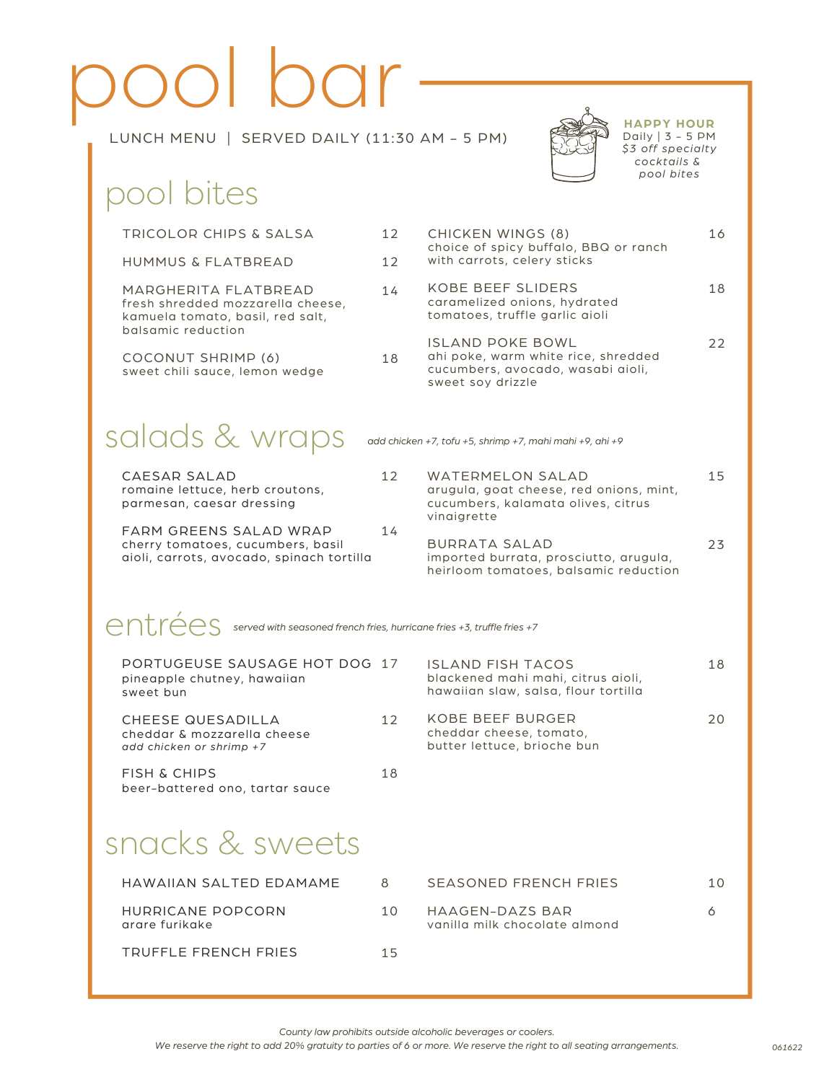## pool bar LUNCH MENU | SERVED DAILY (11:30 AM - 5 PM)



#### **HAPPY HOUR** Daily | 3 - 5 PM *\$3 off specialty cocktails & pool bites*

## pool bites

| TRICOLOR CHIPS & SALSA                                                                                              | 12 | <b>CHICKEN WINGS (8)</b>                                                                                                | 16 |
|---------------------------------------------------------------------------------------------------------------------|----|-------------------------------------------------------------------------------------------------------------------------|----|
| <b>HUMMUS &amp; FLATBREAD</b>                                                                                       | 12 | choice of spicy buffalo, BBQ or ranch<br>with carrots, celery sticks                                                    |    |
| MARGHERITA FLATBREAD<br>fresh shredded mozzarella cheese,<br>kamuela tomato, basil, red salt,<br>balsamic reduction | 14 | <b>KOBE BEEF SLIDERS</b><br>caramelized onions, hydrated<br>tomatoes, truffle garlic aioli                              | 18 |
| <b>COCONUT SHRIMP (6)</b><br>sweet chili sauce, lemon wedge                                                         | 18 | ISLAND POKE BOWL<br>ahi poke, warm white rice, shredded<br>cucumbers, avocado, wasabi aioli,<br>sweet soy drizzle       | 22 |
| salads & wraps                                                                                                      |    | add chicken +7, tofu +5, shrimp +7, mahi mahi +9, ahi +9                                                                |    |
| CAESAR SALAD<br>romaine lettuce, herb croutons,<br>parmesan, caesar dressing                                        | 12 | <b>WATERMELON SALAD</b><br>arugula, goat cheese, red onions, mint,<br>cucumbers, kalamata olives, citrus<br>vinaigrette | 15 |
| FARM GREENS SALAD WRAP<br>cherry tomatoes, cucumbers, basil<br>aioli, carrots, avocado, spinach tortilla            | 14 | <b>BURRATA SALAD</b><br>imported burrata, prosciutto, arugula,<br>heirloom tomatoes, balsamic reduction                 | 23 |
| entrance fries +7<br>erved with seasoned french fries, hurricane fries +3, truffle fries +7                         |    |                                                                                                                         |    |
| PORTUGEUSE SAUSAGE HOT DOG 17<br>pineapple chutney, hawaiian<br>sweet bun                                           |    | <b>ISLAND FISH TACOS</b><br>blackened mahi mahi, citrus aioli,<br>hawaiian slaw, salsa, flour tortilla                  | 18 |
| CHEESE QUESADILLA<br>cheddar & mozzarella cheese<br>add chicken or shrimp +7                                        | 12 | <b>KOBE BEEF BURGER</b><br>cheddar cheese, tomato,<br>butter lettuce, brioche bun                                       | 20 |
| <b>FISH &amp; CHIPS</b><br>beer-battered ono, tartar sauce                                                          | 18 |                                                                                                                         |    |
| snacks & sweets                                                                                                     |    |                                                                                                                         |    |
| HAWAIIAN SALTED EDAMAME                                                                                             | 8  | SEASONED FRENCH FRIES                                                                                                   | 10 |
| HURRICANE POPCORN<br>arare furikake                                                                                 | 10 | HAAGEN-DAZS BAR<br>vanilla milk chocolate almond                                                                        | 6  |
| <b>TRUFFLE FRENCH FRIES</b>                                                                                         | 15 |                                                                                                                         |    |

*County law prohibits outside alcoholic beverages or coolers.*